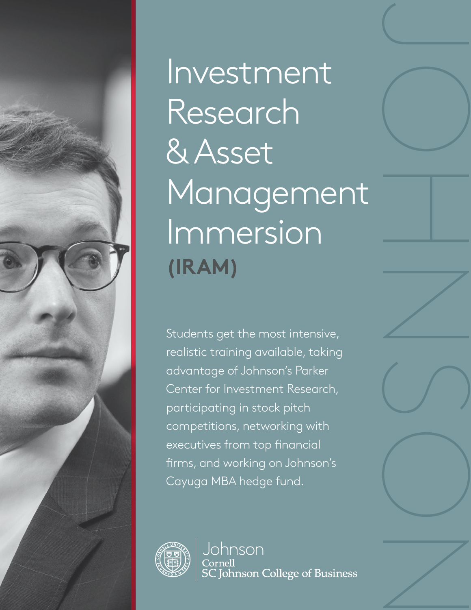

Investment Research & Asset Management Immersion **(IRAM)**

JOHNSON

Students get the most intensive, realistic training available, taking advantage of Johnson's Parker Center for Investment Research, participating in stock pitch competitions, networking with executives from top financial firms, and working on Johnson's Cayuga MBA hedge fund.



Johnson Cornell<br>SC Johnson College of Business